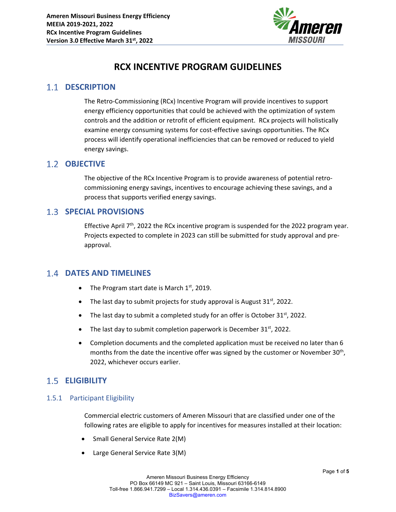

# **RCX INCENTIVE PROGRAM GUIDELINES**

# **1.1 DESCRIPTION**

The Retro‐Commissioning (RCx) Incentive Program will provide incentives to support energy efficiency opportunities that could be achieved with the optimization of system controls and the addition or retrofit of efficient equipment. RCx projects will holistically examine energy consuming systems for cost-effective savings opportunities. The RCx process will identify operational inefficiencies that can be removed or reduced to yield energy savings.

### 1.2 **OBJECTIVE**

The objective of the RCx Incentive Program is to provide awareness of potential retro‐ commissioning energy savings, incentives to encourage achieving these savings, and a process that supports verified energy savings.

## **SPECIAL PROVISIONS**

Effective April  $7<sup>th</sup>$ , 2022 the RCx incentive program is suspended for the 2022 program year. Projects expected to complete in 2023 can still be submitted for study approval and pre‐ approval.

## **DATES AND TIMELINES**

- The Program start date is March  $1<sup>st</sup>$ , 2019.
- The last day to submit projects for study approval is August  $31<sup>st</sup>$ , 2022.
- The last day to submit a completed study for an offer is October 31st, 2022.
- The last day to submit completion paperwork is December  $31<sup>st</sup>$ , 2022.
- Completion documents and the completed application must be received no later than 6 months from the date the incentive offer was signed by the customer or November  $30<sup>th</sup>$ , 2022, whichever occurs earlier.

# **ELIGIBILITY**

#### 1.5.1 Participant Eligibility

Commercial electric customers of Ameren Missouri that are classified under one of the following rates are eligible to apply for incentives for measures installed at their location:

- Small General Service Rate 2(M)
- Large General Service Rate 3(M)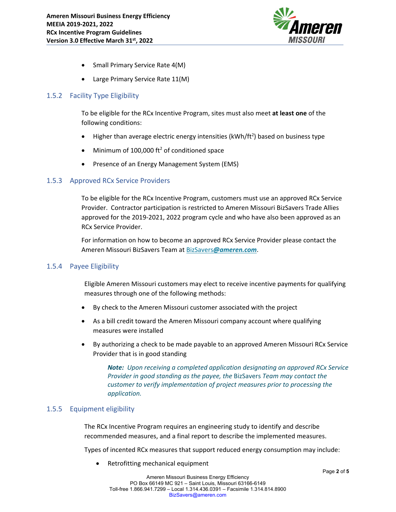

- Small Primary Service Rate 4(M)
- Large Primary Service Rate 11(M)

#### 1.5.2 Facility Type Eligibility

To be eligible for the RCx Incentive Program, sites must also meet **at least one** of the following conditions:

- $\bullet$  Higher than average electric energy intensities (kWh/ft<sup>2</sup>) based on business type
- $\bullet$  Minimum of 100,000 ft<sup>2</sup> of conditioned space
- Presence of an Energy Management System (EMS)

#### 1.5.3 Approved RCx Service Providers

To be eligible for the RCx Incentive Program, customers must use an approved RCx Service Provider. Contractor participation is restricted to Ameren Missouri BizSavers Trade Allies approved for the 2019‐2021, 2022 program cycle and who have also been approved as an RCx Service Provider.

For information on how to become an approved RCx Service Provider please contact the Ameren Missouri BizSavers Team at BizSavers*@ameren.com*.

#### 1.5.4 Payee Eligibility

Eligible Ameren Missouri customers may elect to receive incentive payments for qualifying measures through one of the following methods:

- By check to the Ameren Missouri customer associated with the project
- As a bill credit toward the Ameren Missouri company account where qualifying measures were installed
- By authorizing a check to be made payable to an approved Ameren Missouri RCx Service Provider that is in good standing

*Note: Upon receiving a completed application designating an approved RCx Service Provider in good standing as the payee, the* BizSavers *Team may contact the customer to verify implementation of project measures prior to processing the application.*

#### 1.5.5 Equipment eligibility

The RCx Incentive Program requires an engineering study to identify and describe recommended measures, and a final report to describe the implemented measures.

Types of incented RCx measures that support reduced energy consumption may include:

Retrofitting mechanical equipment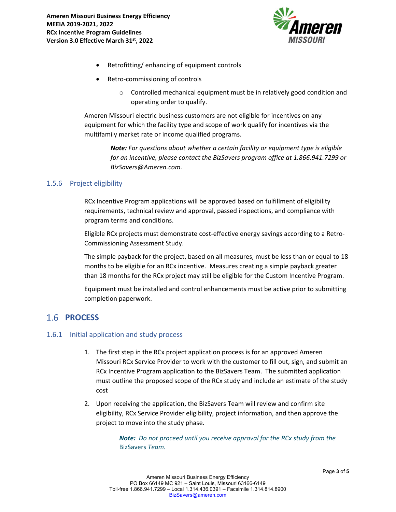

- Retrofitting/ enhancing of equipment controls
- Retro‐commissioning of controls
	- o Controlled mechanical equipment must be in relatively good condition and operating order to qualify.

Ameren Missouri electric business customers are not eligible for incentives on any equipment for which the facility type and scope of work qualify for incentives via the multifamily market rate or income qualified programs.

> *Note: For questions about whether a certain facility or equipment type is eligible for an incentive, please contact the BizSavers program office at 1.866.941.7299 or BizSavers@Ameren.com.*

#### 1.5.6 Project eligibility

RCx Incentive Program applications will be approved based on fulfillment of eligibility requirements, technical review and approval, passed inspections, and compliance with program terms and conditions.

Eligible RCx projects must demonstrate cost-effective energy savings according to a Retro-Commissioning Assessment Study.

The simple payback for the project, based on all measures, must be less than or equal to 18 months to be eligible for an RCx incentive. Measures creating a simple payback greater than 18 months for the RCx project may still be eligible for the Custom Incentive Program.

Equipment must be installed and control enhancements must be active prior to submitting completion paperwork.

## 1.6 **PROCESS**

#### 1.6.1 Initial application and study process

- 1. The first step in the RCx project application process is for an approved Ameren Missouri RCx Service Provider to work with the customer to fill out, sign, and submit an RCx Incentive Program application to the BizSavers Team. The submitted application must outline the proposed scope of the RCx study and include an estimate of the study cost
- 2. Upon receiving the application, the BizSavers Team will review and confirm site eligibility, RCx Service Provider eligibility, project information, and then approve the project to move into the study phase.

*Note: Do not proceed until you receive approval for the RCx study from the* BizSavers *Team.*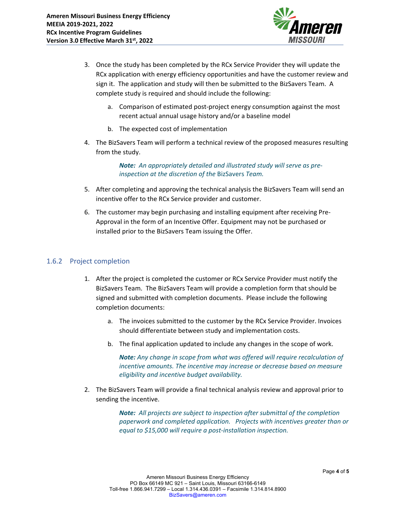

- 3. Once the study has been completed by the RCx Service Provider they will update the RCx application with energy efficiency opportunities and have the customer review and sign it. The application and study will then be submitted to the BizSavers Team. A complete study is required and should include the following:
	- a. Comparison of estimated post‐project energy consumption against the most recent actual annual usage history and/or a baseline model
	- b. The expected cost of implementation
- 4. The BizSavers Team will perform a technical review of the proposed measures resulting from the study.

*Note: An appropriately detailed and illustrated study will serve as pre‐ inspection at the discretion of the* BizSavers *Team.* 

- 5. After completing and approving the technical analysis the BizSavers Team will send an incentive offer to the RCx Service provider and customer.
- 6. The customer may begin purchasing and installing equipment after receiving Pre‐ Approval in the form of an Incentive Offer. Equipment may not be purchased or installed prior to the BizSavers Team issuing the Offer.

#### 1.6.2 Project completion

- 1. After the project is completed the customer or RCx Service Provider must notify the BizSavers Team. The BizSavers Team will provide a completion form that should be signed and submitted with completion documents. Please include the following completion documents:
	- a. The invoices submitted to the customer by the RCx Service Provider. Invoices should differentiate between study and implementation costs.
	- b. The final application updated to include any changes in the scope of work.

*Note: Any change in scope from what was offered will require recalculation of incentive amounts. The incentive may increase or decrease based on measure eligibility and incentive budget availability.*

2. The BizSavers Team will provide a final technical analysis review and approval prior to sending the incentive.

> *Note: All projects are subject to inspection after submittal of the completion paperwork and completed application. Projects with incentives greater than or equal to \$15,000 will require a post‐installation inspection.*